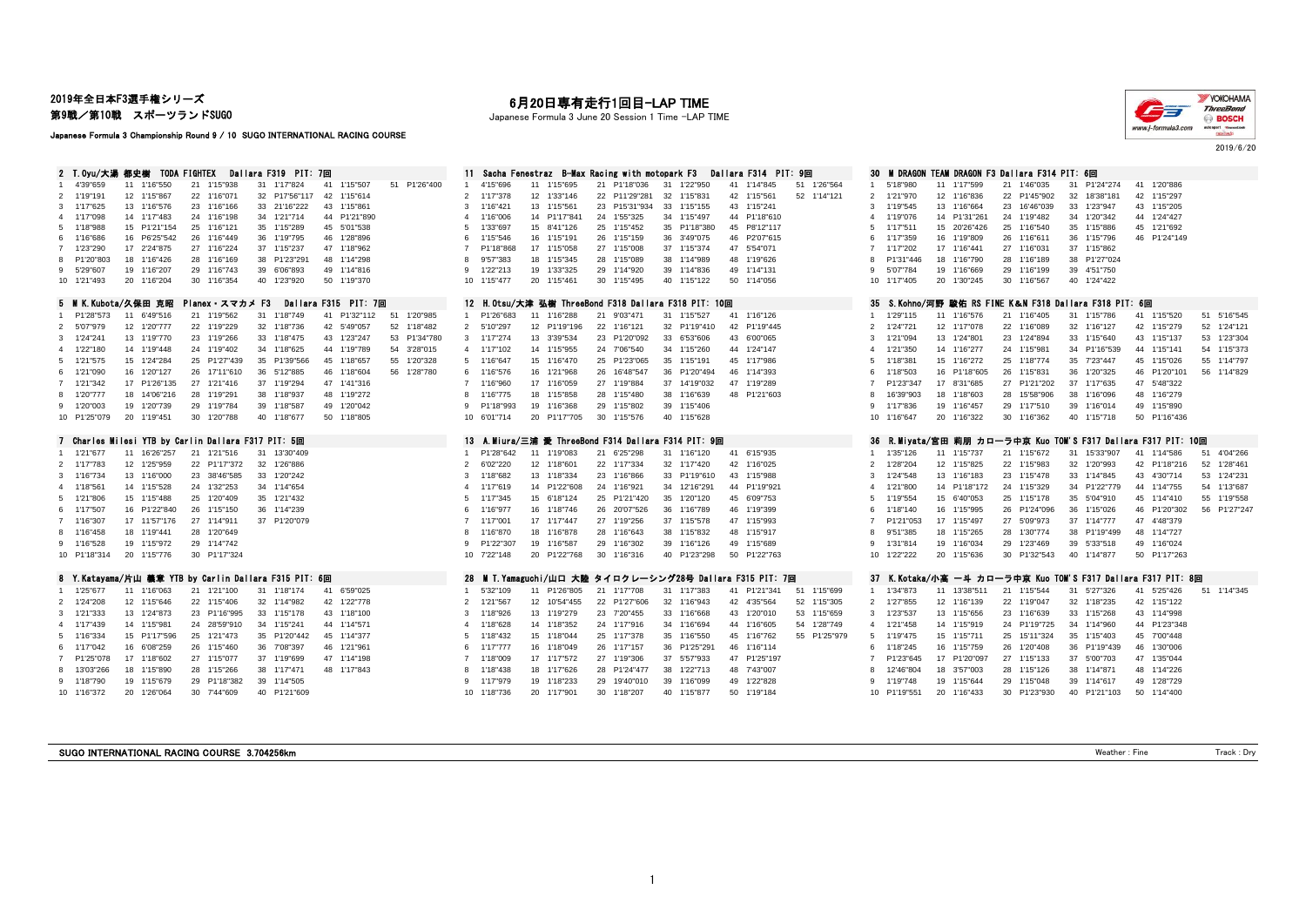2019年全日本F3選手権シリーズ

第9戦/第10戦 スポーツランドSUGO

Japanese Formula 3 Championship Round 9 / 10 SUGO INTERNATIONAL RACING COURSE

# 月20日専有走行1回目-LAP TIME

Japanese Formula 3 June 20 Session 1 Time -LAP TIME



2019/6/20

| 2 T.Ovu/大湯:都史榭 TODA FIGHTEX<br>Dallara F319 PIT: 7回                                                                                                                                                                                                                                                                                                                                                                                                                                                                                                                                                                                                                                                                                                                                                                                                                                                                                                                                    | Sacha Fenestraz - B-Max Racing with motopark F3<br>Dallara F314 PIT: 9回<br>11.                                                                                                                                                                                                                                                                                                                                                                                                                                                                                                                                                                                                                                                                                                                                                                                                                                                                             | <b>M DRAGON TEAM DRAGON F3 Dallara F314 PIT: 6回</b><br>30                                                                                                                                                                                                                                                                                                                                                                                                                                                                                                                                                                                                                                                                                                                                                                                                                                                                                                                                                                                                       |
|----------------------------------------------------------------------------------------------------------------------------------------------------------------------------------------------------------------------------------------------------------------------------------------------------------------------------------------------------------------------------------------------------------------------------------------------------------------------------------------------------------------------------------------------------------------------------------------------------------------------------------------------------------------------------------------------------------------------------------------------------------------------------------------------------------------------------------------------------------------------------------------------------------------------------------------------------------------------------------------|------------------------------------------------------------------------------------------------------------------------------------------------------------------------------------------------------------------------------------------------------------------------------------------------------------------------------------------------------------------------------------------------------------------------------------------------------------------------------------------------------------------------------------------------------------------------------------------------------------------------------------------------------------------------------------------------------------------------------------------------------------------------------------------------------------------------------------------------------------------------------------------------------------------------------------------------------------|-----------------------------------------------------------------------------------------------------------------------------------------------------------------------------------------------------------------------------------------------------------------------------------------------------------------------------------------------------------------------------------------------------------------------------------------------------------------------------------------------------------------------------------------------------------------------------------------------------------------------------------------------------------------------------------------------------------------------------------------------------------------------------------------------------------------------------------------------------------------------------------------------------------------------------------------------------------------------------------------------------------------------------------------------------------------|
| 4'39"659<br>11 1'16"550<br>21 1'15"938<br>1'15"507<br>51 P1'26"400<br>31 1'17"824<br>41<br>2 1'19"191<br>12 1'15"867<br>22 1'16"071<br>32 P17'56"117<br>42 1'15"614<br>3 1'17"625<br>13 1'16"576<br>23 1'16"166<br>43 1'15"861<br>33 21'16"222<br>14 1'17"483<br>24 1'16"198<br>34 1'21"714<br>44 P1'21"890<br>4 1'17"098<br>15 P1'21"154<br>25 1'16"121<br>35 1'15"289<br>45 5'01"538<br>5 1'18"988<br>16 P6'25"542<br>26 1'16"449<br>36 1'19"795<br>46 1'28"896<br>6 1'16"686<br>7 1'23"290<br>17 2'24"875<br>27 1'16"224<br>37 1'15"237<br>47 1'18"962<br>P1'20"803<br>18 1'16"426<br>28 1'16"169<br>38 P1'23"291<br>48 1'14"298<br>8<br>9 5'29"607<br>19 1'16"207<br>29 1'16"743<br>39 6'06"893<br>49 1'14"816<br>20 1'16"204<br>30 1'16"354<br>40 1'23"920<br>50 1'19"370<br>10 1'21"493                                                                                                                                                                                          | 11 1'15"695<br>21 P1'18"036<br>1'22"950<br>1'26"564<br>4'15"696<br>31<br>41 1'14"845<br>51<br>12 1'33"146<br>22 P11'29"281<br>32 1'15"831<br>42 1'15"561<br>52 1'14"121<br>2<br>1'17"378<br>13 1'15"561<br>23 P15'31"934<br>33<br>1'15"155<br>43 1'15"241<br>3<br>1'16"421<br>14 P1'17"841<br>24 1'55"325<br>44 P1'18"610<br>1'16"006<br>34 1'15"497<br>$\overline{4}$<br>25 1'15"452<br>45 P8'12"117<br>15 8'41"126<br>35 P1'18"380<br>-5<br>1'33"697<br>16 1'15"191<br>26 1'15"159<br>36 3'49"075<br>46 P2'07"615<br>1'15"546<br>6<br>47 5'54"071<br>17 1'15"058<br>27 1'15"008<br>37 1'15"374<br>$\overline{7}$<br>P1'18"868<br>18 1'15"345<br>28 1'15"089<br>38 1'14"989<br>48 1'19"626<br>9'57"383<br>8<br>19 1'33"325<br>29 1'14"920<br>39 1'14"836<br>49 1'14"131<br>q<br>1'22"213<br>50 1'14"056<br>1'15"477<br>20 1'15"461<br>30 1'15"495<br>40 1'15"122<br>10 <sup>°</sup>                                                                       | 31 P1'24"274<br>41 1'20"886<br>5'18"980<br>11 1'17"599<br>21<br>1'46"035<br>1'21"970<br>12 1'16"836<br>22 P1'45"902<br>32 18'38"181<br>42 1'15"297<br>2<br>1'19"545<br>13 1'16"664<br>23 16'46"039<br>33 1'23"947<br>43 1'15"205<br>$\mathcal{R}$<br>24 1'19"482<br>34 1'20"342<br>44 1'24"427<br>1'19"076<br>14 P1'31"261<br>4<br>25 1'16"540<br>35 1'15"886<br>45 1'21"692<br>1'17"511<br>15 20'26"426<br>5<br>1'17"359<br>16 1'19"809<br>26 1'16"611<br>36 1'15"796<br>46 P1'24"149<br>37 1'15"862<br>1'17"202<br>17 1'16"441<br>27 1'16"031<br>$\overline{7}$<br>38 P1'27"024<br>P1'31"446<br>18 1'16"790<br>28 1'16"189<br>5'07"784<br>19 1'16"669<br>29 1'16"199<br>39 4'51"750<br>q<br>40 1'24"422<br>20 1'30"245<br>30 1'16"567<br>10<br>1'17"405                                                                                                                                                                                                                                                                                                       |
| 5 M K.Kubota/久保田 克昭<br>Planex スマカメ F3<br>Dallara F315 PIT: 7回                                                                                                                                                                                                                                                                                                                                                                                                                                                                                                                                                                                                                                                                                                                                                                                                                                                                                                                          | 12 H.Otsu/大津 弘樹 ThreeBond F318 Dallara F318 PIT: 10回                                                                                                                                                                                                                                                                                                                                                                                                                                                                                                                                                                                                                                                                                                                                                                                                                                                                                                       | 35 S.Kohno/河野 駿佑 RS FINE K&N F318 Dallara F318 PIT: 6回                                                                                                                                                                                                                                                                                                                                                                                                                                                                                                                                                                                                                                                                                                                                                                                                                                                                                                                                                                                                          |
| 21 1'19"562<br>11 6'49"516<br>51 1'20"985<br>P1'28"573<br>31 1'18"749<br>41 P1'32"112<br>12 1'20"777<br>22 1'19"229<br>32 1'18"736<br>42 5'49"057<br>52 1'18"482<br>2 5'07"979<br>13 1'19"770<br>23 1'19"266<br>33 1'18"475<br>43 1'23"247<br>53 P1'34"780<br>3 1'24"241<br>4 1'22"180<br>14 1'19"448<br>24 1'19"402<br>54 3'28"015<br>34 1'18"625<br>44 1'19"789<br>15 1'24"284<br>35 P1'39"566<br>5 1'21"575<br>25 P1'27"439<br>45 1'18"657<br>55 1'20"328<br>16 1'20"127<br>36 5'12"885<br>56 1'28"780<br>6 1'21"090<br>26 17'11"610<br>46 1'18"604<br>17 P1'26"135<br>7 1'21"342<br>27 1'21"416<br>37 1'19"294<br>47 1'41"316<br>8 1'20"777<br>28 1'19"291<br>18 14'06"216<br>38 1'18"937<br>48 1'19"272<br>9 1'20"003<br>29 1'19"784<br>39 1'18"587<br>49 1'20"042<br>19 1'20"739<br>20 1'19"451<br>30 1'20"788<br>40 1'18"677<br>50 1'18"805<br>10 P1'25"079<br>7 Charles Milesi YTB by Carlin Dallara F317 PIT: 5回<br>1 1'21"677<br>11 16'26"257<br>21 1'21"516<br>31 13'30"409 | 21 9'03"471<br>41 1'16"126<br>P1'26"683<br>31 1'15"527<br>$\blacktriangleleft$<br>11 1'16"288<br>22 1'16"121<br>32 P1'19"410<br>42 P1'19"445<br>2<br>5'10"297<br>12 P1'19"196<br>33 6'53"606<br>43 6'00"065<br>3<br>1'17"274<br>13 3'39"534<br>23 P1'20"092<br>44 1'24"147<br>14 1'15"955<br>24 7'06"540<br>34 1'15"260<br>$\overline{4}$<br>1'17"102<br>45 1'17"986<br>1'16"647<br>15 1'16"470<br>25 P1'23"065<br>35 1'15"191<br>5<br>46 1'14"393<br>6<br>1'16"576<br>16 1'21"968<br>26 16'48"547<br>36 P1'20"494<br>17 1'16"059<br>27 1'19"884<br>37 14'19"032<br>47 1'19"289<br>7<br>1'16"960<br>1'16"775<br>18 1'15"858<br>28 1'15"480<br>38 1'16"639<br>48 P1'21"603<br>8<br>29 1'15"802<br>P1'18"993<br>19 1'16"368<br>39 1'15"406<br>9<br>20 P1'17"705<br>30 1'15"576<br>40 1'15"628<br>10 6'01"714<br>13 A.Miura/三浦 愛 ThreeBond F314 Dallara F314 PIT: 9回<br>P1'28"642<br>11 1'19"083<br>21 6'25"298<br>31 1'16"120<br>41 6'15"935<br>$\mathbf{1}$ | 21 1'16"405<br>41 1'15"520<br>51 5'16"545<br>1'29"115<br>11 1'16"576<br>31 1'15"786<br>12 1'17"078<br>22 1'16"089<br>32 1'16"127<br>42 1'15"279<br>52 1'24"121<br>$\overline{2}$<br>1'24"721<br>13 1'24"801<br>23 1'24"894<br>33 1'15"640<br>43 1'15"137<br>53 1'23"304<br>1'21"094<br>3<br>44 1'15"141<br>54 1'15"373<br>1'21"350<br>14 1'16"277<br>24 1'15"981<br>34 P1'16"539<br>$\Delta$<br>1'18"381<br>15 1'16"272<br>25 1'18"774<br>35 7'23"447<br>45 1'15"026<br>55 1'14"797<br>5<br>1'18"503<br>26 1'15"831<br>36 1'20"325<br>46 P1'20"101<br>16 P1'18"605<br>56 1'14"829<br>6<br>37 1'17"635<br>P1'23"347<br>17 8'31"685<br>27 P1'21"202<br>47 5'48"322<br>38 1'16"096<br>48 1'16"279<br>16'39"903<br>18 1'18"603<br>28 15'58"906<br>29 1'17"510<br>39 1'16"014<br>49 1'15"890<br>1'17"836<br>19 1'16"457<br>9<br>30 1'16"362<br>40 1'15"718<br>50 P1'16"436<br>10 1'16"647<br>20 1'16"322<br>36<br>R.Miyata/宮田 莉朋 カローラ中京 Kuo TOM'S F317 Dallara F317 PIT: 10回<br>11 1'15"737<br>21 1'15"672<br>31 15'33"907<br>41 1'14"586<br>51 4'04"266<br>1'35"126 |
| 12 1'25"959<br>22 P1'17"372<br>32 1'26"886<br>2 1'17"783<br>3 1'16"734<br>13 1'16"000<br>23 38'46"585<br>33 1'20"242<br>14 1'15"528<br>24 1'32"253<br>34 1'14"654<br>4 1'18"561<br>25 1'20"409<br>5 1'21"806<br>15 1'15"488<br>35 1'21"432<br>16 P1'22"840<br>26 1'15"150<br>36 1'14"239<br>6 1'17"507<br>17 11'57"176<br>27 1'14"911<br>37 P1'20"079<br>7 1'16"307<br>8 1'16"458<br>18 1'19"441<br>28 1'20"649<br>19 1'15"972<br>29 1'14"742<br>9 1'16"528<br>10 P1'18"314<br>20 1'15"776<br>30 P1'17"324                                                                                                                                                                                                                                                                                                                                                                                                                                                                             | 42 1'16"025<br>$\overline{2}$<br>12 1'18"601<br>22 1'17"334<br>32 1'17"420<br>6'02"220<br>13 1'18"334<br>23 1'16"866<br>33 P1'19"610<br>43 1'15"988<br>3<br>1'18"682<br>14 P1'22"608<br>44 P1'19"921<br>24 1'16"921<br>34 12'16"291<br>$\overline{4}$<br>1'17"619<br>25 P1'21"420<br>35 1'20"120<br>45 6'09"753<br>5<br>1'17"345<br>15 6'18"124<br>46 1'19"399<br>16 1'18"746<br>26 20'07"526<br>36 1'16"789<br>6<br>1'16"977<br>27 1'19"256<br>47 1'15"993<br>$\overline{7}$<br>1'17"001<br>17 1'17"447<br>37 1'15"578<br>18 1'16"878<br>28 1'16"643<br>38 1'15"832<br>48 1'15"917<br>8<br>1'16"870<br>19 1'16"587<br>29 1'16"302<br>49 1'15"689<br>P1'22"307<br>39 1'16"126<br>9<br>20 P1'22"768<br>30 1'16"316<br>40 P1'23"298<br>50 P1'22"763<br>10 7'22"148                                                                                                                                                                                           | 22 1'15"983<br>32 1'20"993<br>52 1'28"461<br>1'28"204<br>12 1'15"825<br>42 P1'18"216<br>$\overline{2}$<br>1'24"548<br>13 1'16"183<br>23 1'15"478<br>33 1'14"845<br>43 4'30"714<br>53 1'24"231<br>3<br>1'21"800<br>14 P1'18"172<br>24 1'15"329<br>34 P1'22"779<br>44 1'14"755<br>54 1'13"687<br>1'19"554<br>25 1'15"178<br>35 5'04"910<br>45 1'14"410<br>55 1'19"558<br>5<br>15 6'40"053<br>26 P1'24"096<br>36 1'15"026<br>46 P1'20"302<br>56 P1'27"247<br>1'18"140<br>16 1'15"995<br>6<br>17 1'15"497<br>27 5'09"973<br>37 1'14"777<br>47 4'48"379<br>P1'21"053<br>9'51"385<br>18 1'15"265<br>28 1'30"774<br>38 P1'19"499<br>48 1'14"727<br>29<br>1'23"469<br>49 1'16"024<br>1'31"814<br>19 1'16"034<br>39 5'33"518<br>q<br>20 1'15"636<br>30 P1'32"543<br>40 1'14"877<br>50 P1'17"263<br>10 1'22"222                                                                                                                                                                                                                                                           |
| 8 Y.Katavama/片山 義章 YTB bv Carlin Dallara F315 PIT: 6回                                                                                                                                                                                                                                                                                                                                                                                                                                                                                                                                                                                                                                                                                                                                                                                                                                                                                                                                  | 28 M T.Yamaguchi/山口 大陸 タイロクレーシング28号 Dallara F315 PIT: 7回                                                                                                                                                                                                                                                                                                                                                                                                                                                                                                                                                                                                                                                                                                                                                                                                                                                                                                   | 37 K.Kotaka/小高 一斗 カローラ中京 Kuo TOM'S F317 Dallara F317 PIT: 8回                                                                                                                                                                                                                                                                                                                                                                                                                                                                                                                                                                                                                                                                                                                                                                                                                                                                                                                                                                                                    |
| 1 1'25"677<br>11 1'16"063<br>21 1'21"100<br>31 1'18"174<br>41 6'59"025<br>2 1'24"208<br>12 1'15"646<br>22 1'15"406<br>32 1'14"982<br>42 1'22"778<br>3 1'21"333<br>13 1'24"873<br>23 P1'16"995<br>33 1'15"178<br>43 1'18"100<br>4 1'17"439<br>14 1'15"981<br>24 28'59"910<br>34 1'15"241<br>44 1'14"571<br>15 P1'17"596<br>25 1'21"473<br>35 P1'20"442<br>5 1'16"334<br>45 1'14"377<br>16 6'08"259<br>26 1'15"460<br>36 7'08"397<br>46 1'21"961<br>6 1'17"042<br>7 P1'25"078<br>17 1'18"602<br>27 1'15"077<br>37 1'19"699<br>47 1'14"198<br>18 1'15"890<br>28 1'15"266<br>38 1'17"471<br>48 1'17"843<br>8 13'03"266<br>19 1'15"679<br>29 P1'18"382<br>39 1'14"505<br>9 1'18"790<br>20 1'26"064<br>30 7'44"609<br>40 P1'21"609<br>10 1'16"372                                                                                                                                                                                                                                            | 51 1'15"699<br>11 P1'26"805<br>21 1'17"708<br>31 1'17"383<br>41 P1'21"341<br>5'32"109<br>$\overline{1}$<br>12 10'54"455<br>22 P1'27"606<br>32 1'16"943<br>42 4'35"564<br>52 1'15"305<br>$\overline{2}$<br>1'21"567<br>1'18"926<br>13 1'19"279<br>23 7'20"455<br>33 1'16"668<br>43 1'20"010<br>53 1'15"659<br>3<br>14 1'18"352<br>24 1'17"916<br>34 1'16"694<br>44 1'16"605<br>54 1'28"749<br>1'18"628<br>$\overline{a}$<br>15 1'18"044<br>45 1'16"762<br>55 P1'25"979<br>-5<br>1'18"432<br>25 1'17"378<br>35 1'16"550<br>16 1'18"049<br>26 1'17"157<br>36 P1'25"291<br>46 1'16"114<br>1'17"777<br>6<br>17 1'17"572<br>27 1'19"306<br>37 5'57"933<br>47 P1'25"197<br>$7^{\circ}$<br>1'18"009<br>18 1'17"626<br>28 P1'24"477<br>38 1'22"713<br>48 7'43"007<br>1'18"438<br>8<br>49 1'22"828<br>19 1'18"233<br>29 19'40"010<br>39 1'16"099<br>9<br>1'17"979<br>20 1'17"901<br>30 1'18"207<br>50 1'19"184<br>10 1'18"736<br>40 1'15"877                         | 41 5'25"426<br>51 1'14"345<br>1'34"873<br>11 13'38"511<br>21 1'15"544<br>31 5'27"326<br>$\overline{1}$<br>42 1'15"122<br>$\overline{2}$<br>1'27"855<br>12 1'16"139<br>22 1'19"047<br>32 1'18"235<br>43 1'14"998<br>1'23"537<br>13 1'15"656<br>23 1'16"639<br>33 1'15"268<br>3<br>1'21"458<br>14 1'15"919<br>24 P1'19"725<br>34 1'14"960<br>44 P1'23"348<br>$\overline{4}$<br>1'19"475<br>15 1'15"711<br>25 15'11"324<br>35 1'15"403<br>45 7'00"448<br>-5<br>16 1'15"759<br>26 1'20"408<br>36 P1'19"439<br>46 1'30"006<br>ĥ<br>1'18"245<br>P1'23"645<br>17 P1'20"097<br>27 1'15"133<br>37 5'00"703<br>47 1'35"044<br>$\overline{7}$<br>18 3'57"003<br>28 1'15"126<br>38 1'14"871<br>48 1'14"226<br>12'46"804<br>29 1'15"048<br>39 1'14"617<br>49 1'28"729<br>1'19"748<br>19 1'15"644<br>9<br>20 1'16"433<br>30 P1'23"930<br>40 P1'21"103<br>50 1'14"400<br>10 P1'19"551                                                                                                                                                                                          |

SUGO INTERNATIONAL RACING COURSE 3.704256km Track : Dry Track : Dry